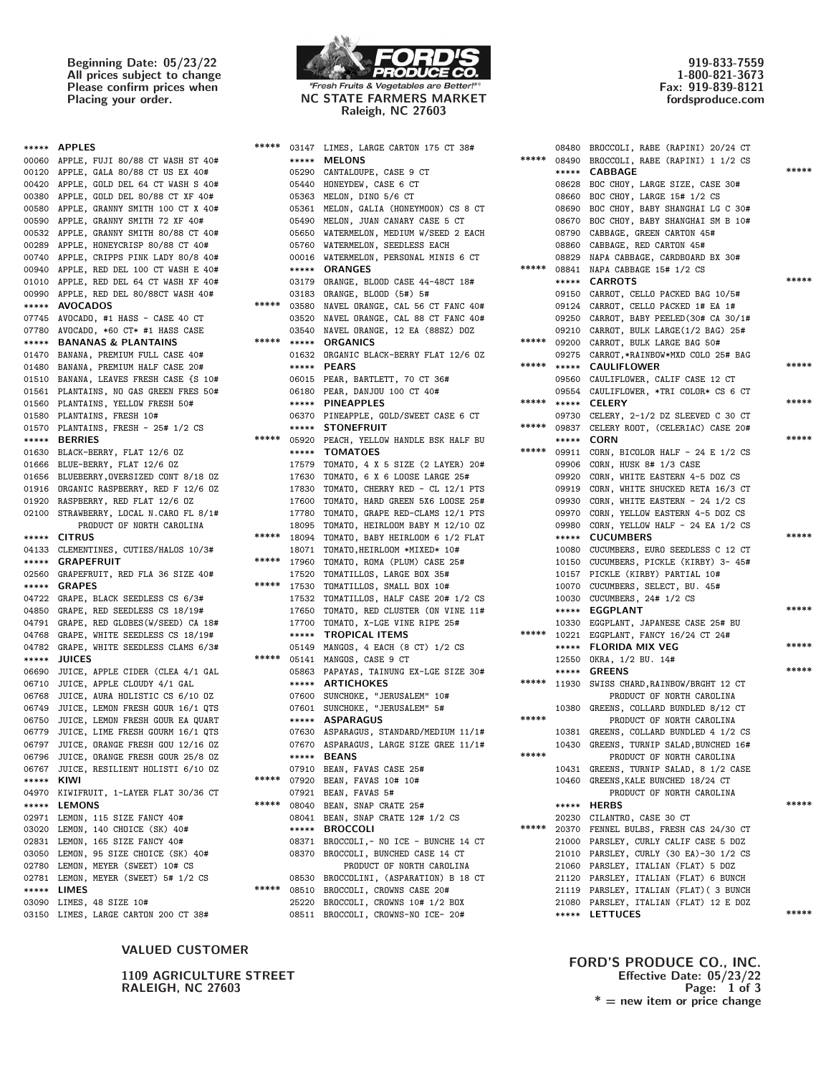Beginning Date: 05/23/22 All prices subject to change Please confirm prices when



Placing your order. NC STATE FARMERS MARKET Raleigh, NC 27603

919-833-7559 1-800-821-3673 Fax: 919-839-8121 fordsproduce.com

| 00060 APPLE, FUJI 80/88 CT WASH ST 40#<br>00120 APPLE, GALA 80/88 CT US EX 40#<br>00420 APPLE, GOLD DEL 64 CT WASH S 40#<br>00380 APPLE, GOLD DEL 80/88 CT XF 40#<br>00580 APPLE, GRANNY SMITH 100 CT X 40#<br>00590 APPLE, GRANNY SMITH 72 XF 40#<br>00532 APPLE, GRANNY SMITH 80/88 CT 40#<br>00289 APPLE, HONEYCRISP 80/88 CT 40#<br>00740 APPLE, CRIPPS PINK LADY 80/8 40#<br>00940 APPLE, RED DEL 100 CT WASH E 40#<br>01010 APPLE, RED DEL 64 CT WASH XF 40#<br>00990 APPLE, RED DEL 80/88CT WASH 40#<br>***** AVOCADOS<br>07745 AVOCADO, #1 HASS - CASE 40 CT<br>07780 AVOCADO, *60 CT* #1 HASS CASE<br><b>***** BANANAS &amp; PLANTAINS</b><br>01470 BANANA, PREMIUM FULL CASE 40#<br>01480 BANANA, PREMIUM HALF CASE 20#<br>01510 BANANA, LEAVES FRESH CASE {S 10#<br>01561 PLANTAINS, NO GAS GREEN FRES 50# |  |
|-----------------------------------------------------------------------------------------------------------------------------------------------------------------------------------------------------------------------------------------------------------------------------------------------------------------------------------------------------------------------------------------------------------------------------------------------------------------------------------------------------------------------------------------------------------------------------------------------------------------------------------------------------------------------------------------------------------------------------------------------------------------------------------------------------------------------|--|
|                                                                                                                                                                                                                                                                                                                                                                                                                                                                                                                                                                                                                                                                                                                                                                                                                       |  |
|                                                                                                                                                                                                                                                                                                                                                                                                                                                                                                                                                                                                                                                                                                                                                                                                                       |  |
|                                                                                                                                                                                                                                                                                                                                                                                                                                                                                                                                                                                                                                                                                                                                                                                                                       |  |
|                                                                                                                                                                                                                                                                                                                                                                                                                                                                                                                                                                                                                                                                                                                                                                                                                       |  |
|                                                                                                                                                                                                                                                                                                                                                                                                                                                                                                                                                                                                                                                                                                                                                                                                                       |  |
|                                                                                                                                                                                                                                                                                                                                                                                                                                                                                                                                                                                                                                                                                                                                                                                                                       |  |
|                                                                                                                                                                                                                                                                                                                                                                                                                                                                                                                                                                                                                                                                                                                                                                                                                       |  |
|                                                                                                                                                                                                                                                                                                                                                                                                                                                                                                                                                                                                                                                                                                                                                                                                                       |  |
|                                                                                                                                                                                                                                                                                                                                                                                                                                                                                                                                                                                                                                                                                                                                                                                                                       |  |
|                                                                                                                                                                                                                                                                                                                                                                                                                                                                                                                                                                                                                                                                                                                                                                                                                       |  |
|                                                                                                                                                                                                                                                                                                                                                                                                                                                                                                                                                                                                                                                                                                                                                                                                                       |  |
|                                                                                                                                                                                                                                                                                                                                                                                                                                                                                                                                                                                                                                                                                                                                                                                                                       |  |
|                                                                                                                                                                                                                                                                                                                                                                                                                                                                                                                                                                                                                                                                                                                                                                                                                       |  |
|                                                                                                                                                                                                                                                                                                                                                                                                                                                                                                                                                                                                                                                                                                                                                                                                                       |  |
|                                                                                                                                                                                                                                                                                                                                                                                                                                                                                                                                                                                                                                                                                                                                                                                                                       |  |
|                                                                                                                                                                                                                                                                                                                                                                                                                                                                                                                                                                                                                                                                                                                                                                                                                       |  |
|                                                                                                                                                                                                                                                                                                                                                                                                                                                                                                                                                                                                                                                                                                                                                                                                                       |  |
|                                                                                                                                                                                                                                                                                                                                                                                                                                                                                                                                                                                                                                                                                                                                                                                                                       |  |
|                                                                                                                                                                                                                                                                                                                                                                                                                                                                                                                                                                                                                                                                                                                                                                                                                       |  |
|                                                                                                                                                                                                                                                                                                                                                                                                                                                                                                                                                                                                                                                                                                                                                                                                                       |  |
| 01560 PLANTAINS, YELLOW FRESH 50#                                                                                                                                                                                                                                                                                                                                                                                                                                                                                                                                                                                                                                                                                                                                                                                     |  |
| 01580 PLANTAINS, FRESH 10#                                                                                                                                                                                                                                                                                                                                                                                                                                                                                                                                                                                                                                                                                                                                                                                            |  |
| 01570 PLANTAINS, FRESH - 25# 1/2 CS                                                                                                                                                                                                                                                                                                                                                                                                                                                                                                                                                                                                                                                                                                                                                                                   |  |
| ***** BERRIES                                                                                                                                                                                                                                                                                                                                                                                                                                                                                                                                                                                                                                                                                                                                                                                                         |  |
| 01630 BLACK-BERRY, FLAT 12/6 0Z                                                                                                                                                                                                                                                                                                                                                                                                                                                                                                                                                                                                                                                                                                                                                                                       |  |
| 01666 BLUE-BERRY, FLAT 12/6 0Z                                                                                                                                                                                                                                                                                                                                                                                                                                                                                                                                                                                                                                                                                                                                                                                        |  |
| 01656 BLUEBERRY, OVERSIZED CONT 8/18 0Z                                                                                                                                                                                                                                                                                                                                                                                                                                                                                                                                                                                                                                                                                                                                                                               |  |
| 01916 ORGANIC RASPBERRY, RED F 12/6 OZ                                                                                                                                                                                                                                                                                                                                                                                                                                                                                                                                                                                                                                                                                                                                                                                |  |
| 01920 RASPBERRY, RED FLAT 12/6 0Z                                                                                                                                                                                                                                                                                                                                                                                                                                                                                                                                                                                                                                                                                                                                                                                     |  |
| 02100 STRAWBERRY, LOCAL N.CARO FL 8/1#                                                                                                                                                                                                                                                                                                                                                                                                                                                                                                                                                                                                                                                                                                                                                                                |  |
| PRODUCT OF NORTH CAROLINA                                                                                                                                                                                                                                                                                                                                                                                                                                                                                                                                                                                                                                                                                                                                                                                             |  |
| ***** CITRUS                                                                                                                                                                                                                                                                                                                                                                                                                                                                                                                                                                                                                                                                                                                                                                                                          |  |
| 04133 CLEMENTINES, CUTIES/HALOS 10/3#                                                                                                                                                                                                                                                                                                                                                                                                                                                                                                                                                                                                                                                                                                                                                                                 |  |
| ***** GRAPEFRUIT                                                                                                                                                                                                                                                                                                                                                                                                                                                                                                                                                                                                                                                                                                                                                                                                      |  |
| 02560 GRAPEFRUIT, RED FLA 36 SIZE 40#                                                                                                                                                                                                                                                                                                                                                                                                                                                                                                                                                                                                                                                                                                                                                                                 |  |
| ***** GRAPES                                                                                                                                                                                                                                                                                                                                                                                                                                                                                                                                                                                                                                                                                                                                                                                                          |  |
| 04722 GRAPE, BLACK SEEDLESS CS 6/3#                                                                                                                                                                                                                                                                                                                                                                                                                                                                                                                                                                                                                                                                                                                                                                                   |  |
| 04850 GRAPE, RED SEEDLESS CS 18/19#                                                                                                                                                                                                                                                                                                                                                                                                                                                                                                                                                                                                                                                                                                                                                                                   |  |
| 04791 GRAPE, RED GLOBES (W/SEED) CA 18#                                                                                                                                                                                                                                                                                                                                                                                                                                                                                                                                                                                                                                                                                                                                                                               |  |
| 04768 GRAPE, WHITE SEEDLESS CS 18/19#                                                                                                                                                                                                                                                                                                                                                                                                                                                                                                                                                                                                                                                                                                                                                                                 |  |
| 04782 GRAPE, WHITE SEEDLESS CLAMS 6/3#                                                                                                                                                                                                                                                                                                                                                                                                                                                                                                                                                                                                                                                                                                                                                                                |  |
| ***** JUICES                                                                                                                                                                                                                                                                                                                                                                                                                                                                                                                                                                                                                                                                                                                                                                                                          |  |
| 06690 JUICE, APPLE CIDER (CLEA 4/1 GAL                                                                                                                                                                                                                                                                                                                                                                                                                                                                                                                                                                                                                                                                                                                                                                                |  |
| 06710 JUICE, APPLE CLOUDY 4/1 GAL                                                                                                                                                                                                                                                                                                                                                                                                                                                                                                                                                                                                                                                                                                                                                                                     |  |
| 06768 JUICE, AURA HOLISTIC CS 6/10 OZ                                                                                                                                                                                                                                                                                                                                                                                                                                                                                                                                                                                                                                                                                                                                                                                 |  |
| JUICE, LEMON FRESH GOUR 16/1 QTS<br>06749                                                                                                                                                                                                                                                                                                                                                                                                                                                                                                                                                                                                                                                                                                                                                                             |  |
| 06750 JUICE, LEMON FRESH GOUR EA QUART                                                                                                                                                                                                                                                                                                                                                                                                                                                                                                                                                                                                                                                                                                                                                                                |  |
| JUICE, LIME FRESH GOURM 16/1 QTS<br>06779                                                                                                                                                                                                                                                                                                                                                                                                                                                                                                                                                                                                                                                                                                                                                                             |  |
| 06797 JUICE, ORANGE FRESH GOU 12/16 0Z                                                                                                                                                                                                                                                                                                                                                                                                                                                                                                                                                                                                                                                                                                                                                                                |  |
| 06796 JUICE, ORANGE FRESH GOUR 25/8 OZ                                                                                                                                                                                                                                                                                                                                                                                                                                                                                                                                                                                                                                                                                                                                                                                |  |
| 06767 JUICE, RESILIENT HOLISTI 6/10 0Z                                                                                                                                                                                                                                                                                                                                                                                                                                                                                                                                                                                                                                                                                                                                                                                |  |
| KIWI<br>*****                                                                                                                                                                                                                                                                                                                                                                                                                                                                                                                                                                                                                                                                                                                                                                                                         |  |
| 04970 KIWIFRUIT, 1-LAYER FLAT 30/36 CT                                                                                                                                                                                                                                                                                                                                                                                                                                                                                                                                                                                                                                                                                                                                                                                |  |
| ***** LEMONS                                                                                                                                                                                                                                                                                                                                                                                                                                                                                                                                                                                                                                                                                                                                                                                                          |  |
| 02971 LEMON, 115 SIZE FANCY 40#                                                                                                                                                                                                                                                                                                                                                                                                                                                                                                                                                                                                                                                                                                                                                                                       |  |
| 03020 LEMON, 140 CHOICE (SK) 40#                                                                                                                                                                                                                                                                                                                                                                                                                                                                                                                                                                                                                                                                                                                                                                                      |  |
| 02831 LEMON, 165 SIZE FANCY 40#                                                                                                                                                                                                                                                                                                                                                                                                                                                                                                                                                                                                                                                                                                                                                                                       |  |
| 03050 LEMON, 95 SIZE CHOICE (SK) 40#                                                                                                                                                                                                                                                                                                                                                                                                                                                                                                                                                                                                                                                                                                                                                                                  |  |
| 02780 LEMON, MEYER (SWEET) 10# CS                                                                                                                                                                                                                                                                                                                                                                                                                                                                                                                                                                                                                                                                                                                                                                                     |  |
| 02781 LEMON, MEYER (SWEET) 5# 1/2 CS                                                                                                                                                                                                                                                                                                                                                                                                                                                                                                                                                                                                                                                                                                                                                                                  |  |
| ***** LIMES                                                                                                                                                                                                                                                                                                                                                                                                                                                                                                                                                                                                                                                                                                                                                                                                           |  |
|                                                                                                                                                                                                                                                                                                                                                                                                                                                                                                                                                                                                                                                                                                                                                                                                                       |  |
| 03150 LIMES, LARGE CARTON 200 CT 38#                                                                                                                                                                                                                                                                                                                                                                                                                                                                                                                                                                                                                                                                                                                                                                                  |  |
| 03090 LIMES, 48 SIZE 10#                                                                                                                                                                                                                                                                                                                                                                                                                                                                                                                                                                                                                                                                                                                                                                                              |  |

### VALUED CUSTOMER

|            | ***** APPLES                            | ***** | 03147 LIMES, LARGE CARTON 175 CT 38#         |       | 08480 BROCCOLI, RABE (RAPINI) 20/24 CT       |
|------------|-----------------------------------------|-------|----------------------------------------------|-------|----------------------------------------------|
|            | 00060 APPLE, FUJI 80/88 CT WASH ST 40#  |       | ***** MELONS                                 | ***** | 08490 BROCCOLI, RABE (RAPINI) 1 1/2 CS       |
|            | 00120 APPLE, GALA 80/88 CT US EX 40#    |       | 05290 CANTALOUPE, CASE 9 CT                  |       | ***** CABBAGE                                |
|            | 00420 APPLE, GOLD DEL 64 CT WASH S 40#  |       | 05440 HONEYDEW, CASE 6 CT                    |       | 08628 BOC CHOY, LARGE SIZE, CASE 30#         |
|            | 00380 APPLE, GOLD DEL 80/88 CT XF 40#   |       | 05363 MELON, DINO 5/6 CT                     |       | 08660 BOC CHOY, LARGE 15# 1/2 CS             |
|            | 00580 APPLE, GRANNY SMITH 100 CT X 40#  |       | 05361 MELON, GALIA (HONEYMOON) CS 8 CT       |       | 08690 BOC CHOY, BABY SHANGHAI LG C 30#       |
|            |                                         |       |                                              |       |                                              |
|            | 00590 APPLE, GRANNY SMITH 72 XF 40#     |       | 05490 MELON, JUAN CANARY CASE 5 CT           |       | 08670 BOC CHOY, BABY SHANGHAI SM B 10#       |
|            | 00532 APPLE, GRANNY SMITH 80/88 CT 40#  |       | 05650 WATERMELON, MEDIUM W/SEED 2 EACH       |       | 08790 CABBAGE, GREEN CARTON 45#              |
|            | 00289 APPLE, HONEYCRISP 80/88 CT 40#    |       | 05760 WATERMELON, SEEDLESS EACH              |       | 08860 CABBAGE, RED CARTON 45#                |
|            | 00740 APPLE, CRIPPS PINK LADY 80/8 40#  |       | 00016 WATERMELON, PERSONAL MINIS 6 CT        |       | 08829 NAPA CABBAGE, CARDBOARD BX 30#         |
|            | 00940 APPLE, RED DEL 100 CT WASH E 40#  |       | ***** ORANGES                                | ***** | 08841 NAPA CABBAGE 15# 1/2 CS                |
|            | 01010 APPLE, RED DEL 64 CT WASH XF 40#  |       | 03179 ORANGE, BLOOD CASE 44-48CT 18#         |       | ***** CARROTS                                |
|            | 00990 APPLE, RED DEL 80/88CT WASH 40#   |       | 03183 ORANGE, BLOOD (5#) 5#                  |       | 09150 CARROT, CELLO PACKED BAG 10/5#         |
|            | ***** AVOCADOS                          | ***** | 03580 NAVEL ORANGE, CAL 56 CT FANC 40#       |       | 09124 CARROT, CELLO PACKED 1# EA 1#          |
|            | 07745 AVOCADO, #1 HASS - CASE 40 CT     |       | 03520 NAVEL ORANGE, CAL 88 CT FANC 40#       |       | 09250 CARROT, BABY PEELED (30# CA 30/1#      |
|            | 07780 AVOCADO, *60 CT* #1 HASS CASE     |       | 03540 NAVEL ORANGE, 12 EA (88SZ) DOZ         |       | 09210 CARROT, BULK LARGE(1/2 BAG) 25#        |
|            | ***** BANANAS & PLANTAINS               |       | ***** ***** ORGANICS                         |       | ***** 09200 CARROT, BULK LARGE BAG 50#       |
|            |                                         |       |                                              |       |                                              |
|            | 01470 BANANA, PREMIUM FULL CASE 40#     |       | 01632 ORGANIC BLACK-BERRY FLAT 12/6 OZ       |       | 09275 CARROT, *RAINBOW*MXD COLO 25# BAG      |
|            | 01480 BANANA, PREMIUM HALF CASE 20#     |       | ***** PEARS                                  |       | ***** ***** CAULIFLOWER                      |
|            | 01510 BANANA, LEAVES FRESH CASE {S 10#  |       | 06015 PEAR, BARTLETT, 70 CT 36#              |       | 09560 CAULIFLOWER, CALIF CASE 12 CT          |
|            | 01561 PLANTAINS, NO GAS GREEN FRES 50#  |       | 06180 PEAR, DANJOU 100 CT 40#                |       | 09554 CAULIFLOWER, *TRI COLOR* CS 6 CT       |
|            | 01560 PLANTAINS, YELLOW FRESH 50#       |       | ***** PINEAPPLES                             | ***** | ***** CELERY                                 |
|            | 01580 PLANTAINS, FRESH 10#              |       | 06370 PINEAPPLE, GOLD/SWEET CASE 6 CT        |       | 09730 CELERY, 2-1/2 DZ SLEEVED C 30 CT       |
|            | 01570 PLANTAINS, FRESH - 25# 1/2 CS     |       | ***** STONEFRUIT                             | ***** | 09837 CELERY ROOT, (CELERIAC) CASE 20#       |
|            | ***** BERRIES                           |       | ***** 05920 PEACH, YELLOW HANDLE BSK HALF BU |       | ***** CORN                                   |
|            | 01630 BLACK-BERRY, FLAT 12/6 OZ         |       | ***** TOMATOES                               | ***** | 09911 CORN, BICOLOR HALF - 24 E 1/2 CS       |
|            |                                         |       |                                              |       |                                              |
|            | 01666 BLUE-BERRY, FLAT 12/6 0Z          |       | 17579 TOMATO, 4 X 5 SIZE (2 LAYER) 20#       |       | 09906 CORN, HUSK 8# 1/3 CASE                 |
|            | 01656 BLUEBERRY, OVERSIZED CONT 8/18 0Z |       | 17630 TOMATO, 6 X 6 LOOSE LARGE 25#          |       | 09920 CORN, WHITE EASTERN 4-5 DOZ CS         |
|            | 01916 ORGANIC RASPBERRY, RED F 12/6 OZ  |       | 17830 TOMATO, CHERRY RED - CL 12/1 PTS       |       | 09919 CORN, WHITE SHUCKED RETA 16/3 CT       |
|            | 01920 RASPBERRY, RED FLAT 12/6 OZ       |       | 17600 TOMATO, HARD GREEN 5X6 LOOSE 25#       |       | 09930 CORN, WHITE EASTERN - 24 1/2 CS        |
|            | 02100 STRAWBERRY, LOCAL N.CARO FL 8/1#  |       | 17780 TOMATO, GRAPE RED-CLAMS 12/1 PTS       |       | 09970 CORN, YELLOW EASTERN 4-5 DOZ CS        |
|            | PRODUCT OF NORTH CAROLINA               |       | 18095 TOMATO, HEIRLOOM BABY M 12/10 OZ       |       | 09980 CORN, YELLOW HALF - 24 EA 1/2 CS       |
|            | ***** CITRUS                            |       | ***** 18094 TOMATO, BABY HEIRLOOM 6 1/2 FLAT |       | ***** CUCUMBERS                              |
|            | 04133 CLEMENTINES, CUTIES/HALOS 10/3#   |       | 18071 TOMATO, HEIRLOOM *MIXED* 10#           |       | 10080 CUCUMBERS, EURO SEEDLESS C 12 CT       |
|            | ***** GRAPEFRUIT                        |       | ***** 17960 TOMATO, ROMA (PLUM) CASE 25#     |       | 10150 CUCUMBERS, PICKLE (KIRBY) 3- 45#       |
|            | 02560 GRAPEFRUIT, RED FLA 36 SIZE 40#   |       | 17520 TOMATILLOS, LARGE BOX 35#              |       | 10157 PICKLE (KIRBY) PARTIAL 10#             |
|            | ***** GRAPES                            |       | ***** 17530 TOMATILLOS, SMALL BOX 10#        |       | 10070 CUCUMBERS, SELECT, BU. 45#             |
|            |                                         |       | 17532 TOMATILLOS, HALF CASE 20# 1/2 CS       |       |                                              |
|            | 04722 GRAPE, BLACK SEEDLESS CS 6/3#     |       |                                              |       | 10030 CUCUMBERS, 24# 1/2 CS                  |
|            | 04850 GRAPE, RED SEEDLESS CS 18/19#     |       | 17650 TOMATO, RED CLUSTER (ON VINE 11#       |       | ***** EGGPLANT                               |
|            | 04791 GRAPE, RED GLOBES(W/SEED) CA 18#  |       | 17700 TOMATO, X-LGE VINE RIPE 25#            |       | 10330 EGGPLANT, JAPANESE CASE 25# BU         |
|            | 04768 GRAPE, WHITE SEEDLESS CS 18/19#   |       | <b>***** TROPICAL ITEMS</b>                  | ***** | 10221 EGGPLANT, FANCY 16/24 CT 24#           |
|            | 04782 GRAPE, WHITE SEEDLESS CLAMS 6/3#  |       | 05149 MANGOS, 4 EACH (8 CT) 1/2 CS           |       | ***** FLORIDA MIX VEG                        |
|            | ***** JUICES                            |       | ***** 05141 MANGOS, CASE 9 CT                |       | 12550 OKRA, 1/2 BU. 14#                      |
|            | 06690 JUICE, APPLE CIDER (CLEA 4/1 GAL  |       | 05863 PAPAYAS, TAINUNG EX-LGE SIZE 30#       |       | ***** GREENS                                 |
|            | 06710 JUICE, APPLE CLOUDY 4/1 GAL       |       | ***** ARTICHOKES                             |       | ***** 11930 SWISS CHARD, RAINBOW/BRGHT 12 CT |
|            | 06768 JUICE, AURA HOLISTIC CS 6/10 OZ   |       | 07600 SUNCHOKE, "JERUSALEM" 10#              |       | PRODUCT OF NORTH CAROLINA                    |
|            | 06749 JUICE, LEMON FRESH GOUR 16/1 QTS  |       | 07601 SUNCHOKE, "JERUSALEM" 5#               |       | 10380 GREENS, COLLARD BUNDLED 8/12 CT        |
|            | 06750 JUICE, LEMON FRESH GOUR EA QUART  |       | ***** ASPARAGUS                              | ***** | PRODUCT OF NORTH CAROLINA                    |
|            | 06779 JUICE, LIME FRESH GOURM 16/1 QTS  |       | 07630 ASPARAGUS, STANDARD/MEDIUM 11/1#       |       | 10381 GREENS, COLLARD BUNDLED 4 1/2 CS       |
|            | 06797 JUICE, ORANGE FRESH GOU 12/16 OZ  |       | 07670 ASPARAGUS, LARGE SIZE GREE 11/1#       |       |                                              |
|            |                                         |       |                                              | ***** | 10430 GREENS, TURNIP SALAD, BUNCHED 16#      |
|            | 06796 JUICE, ORANGE FRESH GOUR 25/8 OZ  |       | ***** BEANS                                  |       | PRODUCT OF NORTH CAROLINA                    |
|            | 06767 JUICE, RESILIENT HOLISTI 6/10 OZ  |       | 07910 BEAN, FAVAS CASE 25#                   |       | 10431 GREENS, TURNIP SALAD, 8 1/2 CASE       |
| ***** KIWI |                                         | ***** | 07920 BEAN, FAVAS 10# 10#                    |       | 10460 GREENS, KALE BUNCHED 18/24 CT          |
|            | 04970 KIWIFRUIT, 1-LAYER FLAT 30/36 CT  |       | 07921 BEAN, FAVAS 5#                         |       | PRODUCT OF NORTH CAROLINA                    |
|            | ***** LEMONS                            | ***** | 08040 BEAN, SNAP CRATE 25#                   |       | ***** HERBS                                  |
|            | 02971 LEMON, 115 SIZE FANCY 40#         |       | 08041 BEAN, SNAP CRATE 12# 1/2 CS            |       | 20230 CILANTRO, CASE 30 CT                   |
|            | 03020 LEMON, 140 CHOICE (SK) 40#        |       | ***** BROCCOLI                               | ***** | 20370 FENNEL BULBS, FRESH CAS 24/30 CT       |
|            | 02831 LEMON, 165 SIZE FANCY 40#         |       | 08371 BROCCOLI,- NO ICE - BUNCHE 14 CT       |       | 21000 PARSLEY, CURLY CALIF CASE 5 DOZ        |
|            | 03050 LEMON, 95 SIZE CHOICE (SK) 40#    |       | 08370 BROCCOLI, BUNCHED CASE 14 CT           |       | 21010 PARSLEY, CURLY (30 EA)-30 1/2 CS       |
|            |                                         |       |                                              |       | 21060 PARSLEY, ITALIAN (FLAT) 5 DOZ          |
|            | 02780 LEMON, MEYER (SWEET) 10# CS       |       | PRODUCT OF NORTH CAROLINA                    |       |                                              |
|            | 02781  LEMON, MEYER (SWEET) 5# 1/2 CS   | ***** | 08530 BROCCOLINI, (ASPARATION) B 18 CT       |       | 21120 PARSLEY, ITALIAN (FLAT) 6 BUNCH        |
|            | ***** LIMES                             |       | 08510 BROCCOLI, CROWNS CASE 20#              |       | 21119 PARSLEY, ITALIAN (FLAT) ( 3 BUNCH      |
|            | 03090 LIMES, 48 SIZE 10#                |       | 25220 BROCCOLI, CROWNS 10# 1/2 BOX           |       | 21080 PARSLEY, ITALIAN (FLAT) 12 E DOZ       |
|            | 03150 LIMES, LARGE CARTON 200 CT 38#    |       | 08511 BROCCOLI, CROWNS-NO ICE- 20#           |       | ***** LETTUCES                               |
|            |                                         |       |                                              |       |                                              |

|            |                                                                            |       | VOITI LITTLE, LANGE CANION ITO OI OOT                                    |       |       | $00+00$ $010000001$ , $10000$ $1001101$ , $2072 + 01$ |       |
|------------|----------------------------------------------------------------------------|-------|--------------------------------------------------------------------------|-------|-------|-------------------------------------------------------|-------|
|            | 00060 APPLE, FUJI 80/88 CT WASH ST 40#                                     |       | ***** MELONS                                                             | ***** |       | 08490 BROCCOLI, RABE (RAPINI) 1 1/2 CS                |       |
|            | 00120 APPLE, GALA 80/88 CT US EX 40#                                       |       | 05290 CANTALOUPE, CASE 9 CT                                              |       |       | ***** CABBAGE                                         | ***** |
|            | 00420 APPLE, GOLD DEL 64 CT WASH S 40#                                     |       | 05440 HONEYDEW, CASE 6 CT                                                |       |       | 08628 BOC CHOY, LARGE SIZE, CASE 30#                  |       |
|            | 00380 APPLE, GOLD DEL 80/88 CT XF 40#                                      |       | 05363 MELON, DINO 5/6 CT                                                 |       |       | 08660 BOC CHOY, LARGE 15# 1/2 CS                      |       |
|            | 00580 APPLE, GRANNY SMITH 100 CT X 40#                                     |       | 05361 MELON, GALIA (HONEYMOON) CS 8 CT                                   |       |       | 08690 BOC CHOY, BABY SHANGHAI LG C 30#                |       |
|            | 00590 APPLE, GRANNY SMITH 72 XF 40#                                        |       | 05490 MELON, JUAN CANARY CASE 5 CT                                       |       |       | 08670 BOC CHOY, BABY SHANGHAI SM B 10#                |       |
|            | 00532 APPLE, GRANNY SMITH 80/88 CT 40#                                     |       | 05650 WATERMELON, MEDIUM W/SEED 2 EACH                                   |       |       | 08790 CABBAGE, GREEN CARTON 45#                       |       |
|            | 00289 APPLE, HONEYCRISP 80/88 CT 40#                                       |       | 05760 WATERMELON, SEEDLESS EACH                                          |       |       | 08860 CABBAGE, RED CARTON 45#                         |       |
|            | 00740 APPLE, CRIPPS PINK LADY 80/8 40#                                     |       | 00016 WATERMELON, PERSONAL MINIS 6 CT                                    |       |       | 08829 NAPA CABBAGE, CARDBOARD BX 30#                  |       |
|            | 00940 APPLE, RED DEL 100 CT WASH E 40#                                     |       | ***** ORANGES                                                            |       |       | ***** 08841 NAPA CABBAGE 15# 1/2 CS                   |       |
|            | 01010 APPLE, RED DEL 64 CT WASH XF 40#                                     |       | 03179 ORANGE, BLOOD CASE 44-48CT 18#                                     |       |       | ***** CARROTS                                         | ***** |
|            | 00990 APPLE, RED DEL 80/88CT WASH 40#                                      |       | 03183 ORANGE, BLOOD (5#) 5#                                              |       |       | 09150 CARROT, CELLO PACKED BAG 10/5#                  |       |
|            | ***** AVOCADOS                                                             |       | ***** 03580 NAVEL ORANGE, CAL 56 CT FANC 40#                             |       |       | 09124 CARROT, CELLO PACKED 1# EA 1#                   |       |
|            | 07745 AVOCADO, #1 HASS - CASE 40 CT                                        |       | 03520 NAVEL ORANGE, CAL 88 CT FANC 40#                                   |       |       | 09250 CARROT, BABY PEELED (30# CA 30/1#               |       |
|            | 07780 AVOCADO, *60 CT* #1 HASS CASE                                        |       | 03540 NAVEL ORANGE, 12 EA (88SZ) DOZ                                     |       |       | 09210 CARROT, BULK LARGE(1/2 BAG) 25#                 |       |
|            | ***** BANANAS & PLANTAINS                                                  |       | ***** ***** ORGANICS                                                     |       |       | ***** 09200 CARROT, BULK LARGE BAG 50#                |       |
|            | 01470 BANANA, PREMIUM FULL CASE 40#                                        |       | 01632 ORGANIC BLACK-BERRY FLAT 12/6 OZ                                   |       |       | 09275 CARROT, *RAINBOW*MXD COLO 25# BAG               |       |
|            | 01480 BANANA, PREMIUM HALF CASE 20#                                        |       | ***** PEARS                                                              | ***** |       | ***** CAULIFLOWER                                     | ***** |
|            | 01510 BANANA, LEAVES FRESH CASE {S 10#                                     |       | 06015 PEAR, BARTLETT, 70 CT 36#                                          |       |       | 09560 CAULIFLOWER, CALIF CASE 12 CT                   |       |
|            | 01561 PLANTAINS, NO GAS GREEN FRES 50#                                     |       | 06180 PEAR, DANJOU 100 CT 40#                                            |       |       | 09554 CAULIFLOWER, *TRI COLOR* CS 6 CT                |       |
|            | 01560 PLANTAINS, YELLOW FRESH 50#                                          |       | ***** PINEAPPLES                                                         | ***** |       | ***** CELERY                                          | ***** |
|            | 01580 PLANTAINS, FRESH 10#                                                 |       | 06370 PINEAPPLE, GOLD/SWEET CASE 6 CT                                    |       |       | 09730 CELERY, 2-1/2 DZ SLEEVED C 30 CT                |       |
|            | 01570 PLANTAINS, FRESH - 25# 1/2 CS                                        |       | ***** STONEFRUIT                                                         | ***** |       | 09837 CELERY ROOT, (CELERIAC) CASE 20#                |       |
|            | ***** BERRIES                                                              |       | ***** 05920 PEACH, YELLOW HANDLE BSK HALF BU                             |       |       | ***** CORN                                            | ***** |
|            | 01630 BLACK-BERRY, FLAT 12/6 OZ                                            |       | ***** TOMATOES                                                           | ***** |       | 09911 CORN, BICOLOR HALF - 24 E 1/2 CS                |       |
|            | 01666 BLUE-BERRY, FLAT 12/6 OZ                                             |       | 17579 TOMATO, 4 X 5 SIZE (2 LAYER) 20#                                   |       |       | 09906 CORN, HUSK 8# 1/3 CASE                          |       |
|            | 01656 BLUEBERRY,OVERSIZED CONT 8/18 OZ                                     |       | 17630 TOMATO, 6 X 6 LOOSE LARGE 25#                                      |       |       | 09920 CORN, WHITE EASTERN 4-5 DOZ CS                  |       |
|            | 01916 ORGANIC RASPBERRY, RED F 12/6 OZ                                     |       | 17830 TOMATO, CHERRY RED - CL 12/1 PTS                                   |       |       | 09919 CORN, WHITE SHUCKED RETA 16/3 CT                |       |
|            | 01920 RASPBERRY, RED FLAT 12/6 OZ                                          |       | 17600 TOMATO, HARD GREEN 5X6 LOOSE 25#                                   |       |       | 09930 CORN, WHITE EASTERN - 24 1/2 CS                 |       |
|            | 02100 STRAWBERRY, LOCAL N.CARO FL 8/1#                                     |       | 17780 TOMATO, GRAPE RED-CLAMS 12/1 PTS                                   |       |       | 09970 CORN, YELLOW EASTERN 4-5 DOZ CS                 |       |
|            | PRODUCT OF NORTH CAROLINA                                                  |       | 18095 TOMATO, HEIRLOOM BABY M 12/10 OZ                                   |       |       | 09980 CORN, YELLOW HALF - 24 EA 1/2 CS                | ***** |
|            | ***** CITRUS                                                               |       | ***** 18094 TOMATO, BABY HEIRLOOM 6 1/2 FLAT                             |       |       | ***** CUCUMBERS                                       |       |
|            | 04133 CLEMENTINES, CUTIES/HALOS 10/3#                                      |       | 18071 TOMATO, HEIRLOOM *MIXED* 10#                                       |       |       | 10080 CUCUMBERS, EURO SEEDLESS C 12 CT                |       |
|            | ***** GRAPEFRUIT                                                           |       | ***** 17960 TOMATO, ROMA (PLUM) CASE 25#                                 |       |       | 10150 CUCUMBERS, PICKLE (KIRBY) 3- 45#                |       |
|            | 02560 GRAPEFRUIT, RED FLA 36 SIZE 40#                                      |       | 17520 TOMATILLOS, LARGE BOX 35#<br>***** 17530 TOMATILLOS, SMALL BOX 10# |       |       | 10157 PICKLE (KIRBY) PARTIAL 10#                      |       |
|            | ***** GRAPES                                                               |       | 17532 TOMATILLOS, HALF CASE 20# 1/2 CS                                   |       |       | 10070 CUCUMBERS, SELECT, BU. 45#                      |       |
|            | 04722 GRAPE, BLACK SEEDLESS CS 6/3#<br>04850 GRAPE, RED SEEDLESS CS 18/19# |       | 17650 TOMATO, RED CLUSTER (ON VINE 11#                                   |       |       | 10030 CUCUMBERS, 24# 1/2 CS<br>***** EGGPLANT         | ***** |
|            | 04791 GRAPE, RED GLOBES(W/SEED) CA 18#                                     |       | 17700 TOMATO, X-LGE VINE RIPE 25#                                        |       |       | 10330 EGGPLANT, JAPANESE CASE 25# BU                  |       |
|            | 04768 GRAPE, WHITE SEEDLESS CS 18/19#                                      |       | <b>***** TROPICAL ITEMS</b>                                              | ***** |       | 10221 EGGPLANT, FANCY 16/24 CT 24#                    |       |
|            | 04782  GRAPE, WHITE SEEDLESS CLAMS 6/3#                                    |       | 05149 MANGOS, 4 EACH (8 CT) 1/2 CS                                       |       |       | ***** FLORIDA MIX VEG                                 | ***** |
|            | ***** JUICES                                                               |       | ***** 05141 MANGOS, CASE 9 CT                                            |       |       | 12550 OKRA, 1/2 BU. 14#                               |       |
|            | 06690 JUICE, APPLE CIDER (CLEA 4/1 GAL                                     |       | 05863 PAPAYAS, TAINUNG EX-LGE SIZE 30#                                   |       | ***** | <b>GREENS</b>                                         | ***** |
|            | 06710 JUICE, APPLE CLOUDY 4/1 GAL                                          |       | ***** ARTICHOKES                                                         |       |       | ***** 11930 SWISS CHARD, RAINBOW/BRGHT 12 CT          |       |
|            | 06768 JUICE, AURA HOLISTIC CS 6/10 OZ                                      |       | 07600 SUNCHOKE, "JERUSALEM" 10#                                          |       |       | PRODUCT OF NORTH CAROLINA                             |       |
|            | 06749 JUICE, LEMON FRESH GOUR 16/1 QTS                                     |       | 07601 SUNCHOKE, "JERUSALEM" 5#                                           |       |       | 10380 GREENS, COLLARD BUNDLED 8/12 CT                 |       |
|            | 06750 JUICE, LEMON FRESH GOUR EA QUART                                     |       | ***** ASPARAGUS                                                          | ***** |       | PRODUCT OF NORTH CAROLINA                             |       |
|            | 06779 JUICE, LIME FRESH GOURM 16/1 QTS                                     |       | 07630 ASPARAGUS, STANDARD/MEDIUM 11/1#                                   |       |       | 10381 GREENS, COLLARD BUNDLED 4 1/2 CS                |       |
|            | 06797 JUICE, ORANGE FRESH GOU 12/16 OZ                                     |       | 07670 ASPARAGUS, LARGE SIZE GREE 11/1#                                   |       |       | 10430 GREENS, TURNIP SALAD, BUNCHED 16#               |       |
|            | 06796 JUICE, ORANGE FRESH GOUR 25/8 OZ                                     |       | ***** BEANS                                                              | ***** |       | PRODUCT OF NORTH CAROLINA                             |       |
|            | 06767 JUICE, RESILIENT HOLISTI 6/10 OZ                                     |       | 07910 BEAN, FAVAS CASE 25#                                               |       |       | 10431 GREENS, TURNIP SALAD, 8 1/2 CASE                |       |
| ***** KIWI |                                                                            | ***** | 07920 BEAN, FAVAS 10# 10#                                                |       |       | 10460 GREENS, KALE BUNCHED 18/24 CT                   |       |
|            | 04970 KIWIFRUIT, 1-LAYER FLAT 30/36 CT                                     |       | 07921 BEAN, FAVAS 5#                                                     |       |       | PRODUCT OF NORTH CAROLINA                             |       |
|            | ***** LEMONS                                                               | ***** | 08040 BEAN, SNAP CRATE 25#                                               |       |       | ***** HERBS                                           | ***** |
|            | 02971 LEMON, 115 SIZE FANCY 40#                                            |       | 08041 BEAN, SNAP CRATE 12# 1/2 CS                                        |       |       | 20230 CILANTRO, CASE 30 CT                            |       |
|            | 03020 LEMON, 140 CHOICE (SK) 40#                                           |       | ***** BROCCOLI                                                           | ***** |       | 20370 FENNEL BULBS, FRESH CAS 24/30 CT                |       |
|            | 02831 LEMON, 165 SIZE FANCY 40#                                            |       | 08371 BROCCOLI, - NO ICE - BUNCHE 14 CT                                  |       |       | 21000 PARSLEY, CURLY CALIF CASE 5 DOZ                 |       |
|            | 03050 LEMON, 95 SIZE CHOICE (SK) 40#                                       |       | 08370 BROCCOLI, BUNCHED CASE 14 CT                                       |       |       | 21010 PARSLEY, CURLY (30 EA)-30 1/2 CS                |       |
|            | 02780 LEMON, MEYER (SWEET) 10# CS                                          |       | PRODUCT OF NORTH CAROLINA                                                |       |       | 21060 PARSLEY, ITALIAN (FLAT) 5 DOZ                   |       |
|            | 02781 LEMON, MEYER (SWEET) 5# 1/2 CS                                       |       | 08530 BROCCOLINI, (ASPARATION) B 18 CT                                   |       |       | 21120 PARSLEY, ITALIAN (FLAT) 6 BUNCH                 |       |
|            | ***** LIMES                                                                | ***** | 08510 BROCCOLI, CROWNS CASE 20#                                          |       |       | 21119 PARSLEY, ITALIAN (FLAT) (3 BUNCH                |       |
|            | 03090 LIMES, 48 SIZE 10#                                                   |       | 25220 BROCCOLI, CROWNS 10# 1/2 BOX                                       |       |       | 21080 PARSLEY, ITALIAN (FLAT) 12 E DOZ                |       |
|            | 03150 LIMES, LARGE CARTON 200 CT 38#                                       |       | 08511 BROCCOLI, CROWNS-NO ICE- 20#                                       |       |       | ***** LETTUCES                                        | ***** |
|            |                                                                            |       |                                                                          |       |       |                                                       |       |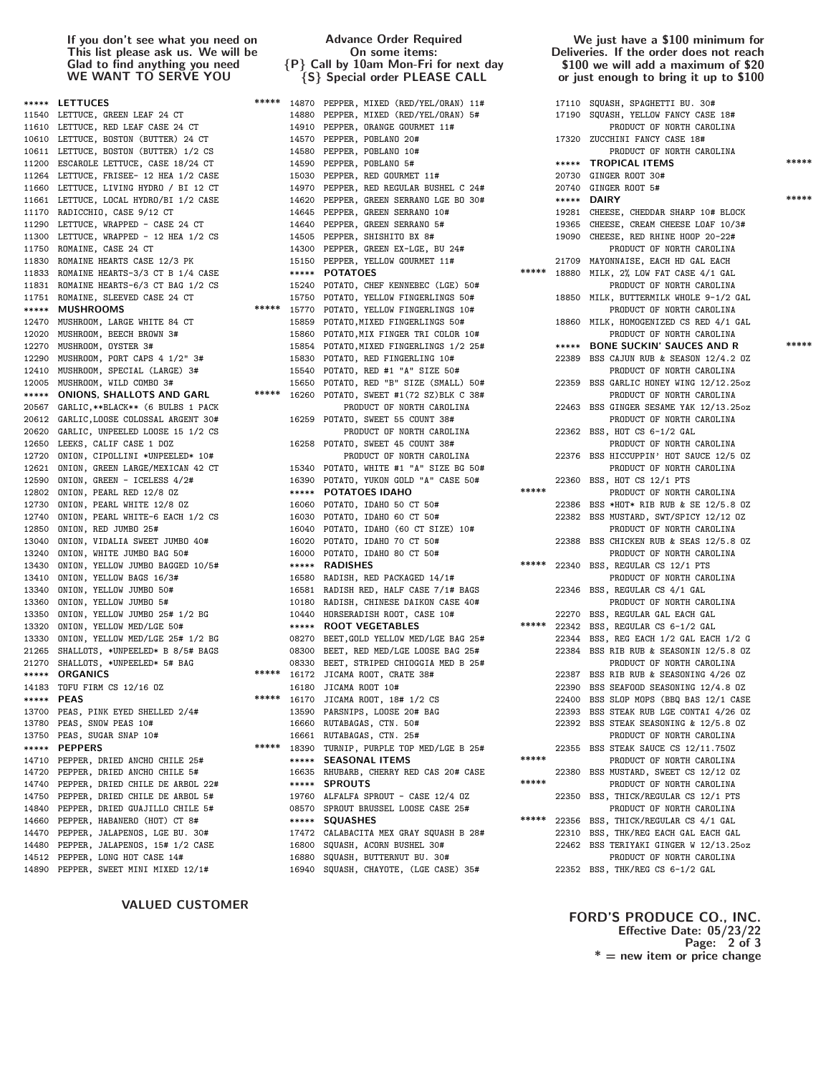If you don't see what you need on This list please ask us. We will be Glad to find anything you need WE WANT TO SERVE YOU

Advance Order Required On some items: {P} Call by 10am Mon-Fri for next day {S} Special order PLEASE CALL

We just have a \$100 minimum for Deliveries. If the order does not reach \$100 we will add a maximum of \$20 or just enough to bring it up to \$100

|       | ***** LETTUCES                                                                                                                       | ***** |       | 14870 PEPPER, MIXED (RED/YEL/ORAN) 11#                                                                                               |       |       | 17110 SQUASH, SPAGHETTI BU. 30#                                                 |       |
|-------|--------------------------------------------------------------------------------------------------------------------------------------|-------|-------|--------------------------------------------------------------------------------------------------------------------------------------|-------|-------|---------------------------------------------------------------------------------|-------|
|       | 11540 LETTUCE, GREEN LEAF 24 CT                                                                                                      |       |       | 14880 PEPPER, MIXED (RED/YEL/ORAN) 5#                                                                                                |       |       | 17190 SQUASH, YELLOW FANCY CASE 18#                                             |       |
|       | 11610 LETTUCE, RED LEAF CASE 24 CT                                                                                                   |       |       | 14910 PEPPER, ORANGE GOURMET 11#                                                                                                     |       |       | PRODUCT OF NORTH CAROLINA                                                       |       |
|       | 10610 LETTUCE, BOSTON (BUTTER) 24 CT                                                                                                 |       |       | 14570 PEPPER, POBLANO 20#                                                                                                            |       |       | 17320 ZUCCHINI FANCY CASE 18#                                                   |       |
|       | 10611 LETTUCE, BOSTON (BUTTER) 1/2 CS                                                                                                |       | 14580 | PEPPER, POBLANO 10#                                                                                                                  |       |       | PRODUCT OF NORTH CAROLINA                                                       |       |
| 11200 | ESCAROLE LETTUCE, CASE 18/24 CT                                                                                                      |       | 14590 | PEPPER, POBLANO 5#                                                                                                                   |       |       | ***** TROPICAL ITEMS                                                            | ***** |
| 11264 | LETTUCE, FRISEE- 12 HEA 1/2 CASE                                                                                                     |       | 15030 | PEPPER, RED GOURMET 11#                                                                                                              |       |       | 20730 GINGER ROOT 30#                                                           |       |
| 11660 | LETTUCE, LIVING HYDRO / BI 12 CT                                                                                                     |       | 14970 | PEPPER, RED REGULAR BUSHEL C 24#                                                                                                     |       |       | 20740 GINGER ROOT 5#                                                            |       |
|       | 11661 LETTUCE, LOCAL HYDRO/BI 1/2 CASE                                                                                               |       |       | 14620 PEPPER, GREEN SERRANO LGE BO 30#                                                                                               |       |       | ***** DAIRY                                                                     | ***** |
|       | 11170 RADICCHIO, CASE 9/12 CT                                                                                                        |       |       | 14645 PEPPER, GREEN SERRANO 10#                                                                                                      |       |       | 19281 CHEESE, CHEDDAR SHARP 10# BLOCK                                           |       |
|       | 11290 LETTUCE, WRAPPED - CASE 24 CT                                                                                                  |       |       | 14640 PEPPER, GREEN SERRANO 5#                                                                                                       |       |       | 19365 CHEESE, CREAM CHEESE LOAF 10/3#                                           |       |
|       | 11300 LETTUCE, WRAPPED - 12 HEA 1/2 CS                                                                                               |       |       | 14505 PEPPER, SHISHITO BX 8#                                                                                                         |       |       | 19090 CHEESE, RED RHINE HOOP 20-22#                                             |       |
|       | 11750 ROMAINE, CASE 24 CT                                                                                                            |       |       | 14300 PEPPER, GREEN EX-LGE, BU 24#                                                                                                   |       |       | PRODUCT OF NORTH CAROLINA                                                       |       |
|       | 11830 ROMAINE HEARTS CASE 12/3 PK                                                                                                    |       |       | 14300 PEPPER, GREEN DA DUL,<br>15150 PEPPER, YELLOW GOURMET 11#<br><b>POTATOES</b>                                                   |       |       |                                                                                 |       |
|       | 11833 ROMAINE HEARTS-3/3 CT B 1/4 CASE                                                                                               |       |       |                                                                                                                                      |       |       | 21709 MAYONNAISE, EACH HD GAL EACH<br>***** 18880 MILK, 2% LOW FAT CASE 4/1 GAL |       |
|       | 11831 ROMAINE HEARTS-6/3 CT BAG 1/2 CS                                                                                               |       |       | 15240 POTATO, CHEF KENNEBEC (LGE) 50#                                                                                                |       |       | PRODUCT OF NORTH CAROLINA                                                       |       |
|       | 11751 ROMAINE, SLEEVED CASE 24 CT                                                                                                    |       |       | 15750 POTATO, YELLOW FINGERLINGS 50#                                                                                                 |       |       |                                                                                 |       |
|       |                                                                                                                                      |       |       |                                                                                                                                      |       |       | 18850 MILK, BUTTERMILK WHOLE 9-1/2 GAL                                          |       |
|       | ***** MUSHROOMS                                                                                                                      |       |       | ***** 15770 POTATO, YELLOW FINGERLINGS 10#                                                                                           |       |       | PRODUCT OF NORTH CAROLINA                                                       |       |
|       | 12470 MUSHROOM, LARGE WHITE 84 CT                                                                                                    |       |       | 15859 POTATO, MIXED FINGERLINGS 50#                                                                                                  |       |       | 18860 MILK, HOMOGENIZED CS RED 4/1 GAL                                          |       |
|       | 12020 MUSHROOM, BEECH BROWN 3#                                                                                                       |       |       | 15860 POTATO, MIX FINGER TRI COLOR 10#                                                                                               |       |       | PRODUCT OF NORTH CAROLINA                                                       | ***** |
| 12270 | MUSHROOM, OYSTER 3#                                                                                                                  |       |       | 15854 POTATO, MIXED FINGERLINGS 1/2 25#                                                                                              |       |       | ***** BONE SUCKIN' SAUCES AND R                                                 |       |
| 12290 | MUSHROOM, PORT CAPS 4 1/2" 3#                                                                                                        |       |       | 15830 POTATO, RED FINGERLING 10#                                                                                                     |       |       | 22389 BSS CAJUN RUB & SEASON 12/4.2 0Z                                          |       |
| 12410 | MUSHROOM, SPECIAL (LARGE) 3#                                                                                                         |       |       | 15540 POTATO, RED #1 "A" SIZE 50#                                                                                                    |       |       | PRODUCT OF NORTH CAROLINA                                                       |       |
| 12005 | MUSHROOM, WILD COMBO 3#                                                                                                              |       |       | 15650 POTATO, RED "B" SIZE (SMALL) 50#                                                                                               |       |       | 22359 BSS GARLIC HONEY WING 12/12.25oz                                          |       |
| ***** | ONIONS, SHALLOTS AND GARL                                                                                                            |       |       | ***** 16260 POTATO, SWEET #1(72 SZ)BLK C 38#                                                                                         |       |       | PRODUCT OF NORTH CAROLINA                                                       |       |
|       | 20567 GARLIC, ** BLACK ** (6 BULBS 1 PACK                                                                                            |       |       | PRODUCT OF NORTH CAROLINA                                                                                                            |       |       | 22463 BSS GINGER SESAME YAK 12/13.25oz                                          |       |
|       | 20612 GARLIC, LOOSE COLOSSAL ARGENT 30#                                                                                              |       |       | 16259 POTATO, SWEET 55 COUNT 38#                                                                                                     |       |       | PRODUCT OF NORTH CAROLINA                                                       |       |
| 20620 | GARLIC, UNPEELED LOOSE 15 1/2 CS                                                                                                     |       |       | PRODUCT OF NORTH CAROLINA                                                                                                            |       |       | 22362 BSS, HOT CS 6-1/2 GAL                                                     |       |
|       | 12650 LEEKS, CALIF CASE 1 DOZ                                                                                                        |       |       | 16258 POTATO, SWEET 45 COUNT 38#                                                                                                     |       |       | PRODUCT OF NORTH CAROLINA                                                       |       |
| 12720 | ONION, CIPOLLINI *UNPEELED* 10#                                                                                                      |       |       | PRODUCT OF NORTH CAROLINA                                                                                                            |       |       | 22376 BSS HICCUPPIN' HOT SAUCE 12/5 OZ                                          |       |
| 12621 | ONION, GREEN LARGE/MEXICAN 42 CT                                                                                                     |       |       | 15340 POTATO, WHITE #1 "A" SIZE BG 50#<br>16390 POTATO, YUKON GOLD "A" CASE 50#                                                      |       |       | PRODUCT OF NORTH CAROLINA                                                       |       |
| 12590 | ONION, GREEN - ICELESS 4/2#                                                                                                          |       |       |                                                                                                                                      |       |       | 22360 BSS, HOT CS 12/1 PTS                                                      |       |
| 12802 | ONION, PEARL RED 12/8 OZ                                                                                                             |       |       | ***** POTATOES IDAHO                                                                                                                 | ***** |       | PRODUCT OF NORTH CAROLINA                                                       |       |
| 12730 | ONION, PEARL WHITE 12/8 OZ                                                                                                           |       |       | 16060 POTATO, IDAHO 50 CT 50#                                                                                                        |       |       | 22386 BSS *HOT* RIB RUB & SE 12/5.8 OZ                                          |       |
|       | 12740 ONION, PEARL WHITE-6 EACH 1/2 CS                                                                                               |       |       |                                                                                                                                      |       |       | 22382 BSS MUSTARD, SWT/SPICY 12/12 OZ                                           |       |
|       | 12850 ONION, RED JUMBO 25#                                                                                                           |       |       | 16030 POTATO, IDAHO 60 CT 50#<br>16040 POTATO, IDAHO (60 CT SIZE) 10#<br>16020 POTATO, IDAHO 70 CT 50#                               |       |       | PRODUCT OF NORTH CAROLINA                                                       |       |
|       | 13040 ONION, VIDALIA SWEET JUMBO 40#                                                                                                 |       |       | 16020 POTATO, IDAHO 70 CT 50#<br>16000 POTATO IDAHO 80 CT 50#                                                                        |       |       | 22388 BSS CHICKEN RUB & SEAS 12/5.8 0Z                                          |       |
| 13240 | ONION, WHITE JUMBO BAG 50#                                                                                                           |       |       | 16000 POTATO, IDAHO 80 CT 50#                                                                                                        |       |       | PRODUCT OF NORTH CAROLINA                                                       |       |
|       | 13430 ONION, YELLOW JUMBO BAGGED 10/5#                                                                                               |       |       | ***** RADISHES<br>16580 RADISH, RED PACKAGED 14/1#<br>16581 RADISH RED, HALF CASE 7/1# BAGS<br>10180 RADISH, CHINESE DAIKON CASE 40# | ***** |       | 22340 BSS, REGULAR CS 12/1 PTS                                                  |       |
| 13410 | ONION, YELLOW BAGS 16/3#                                                                                                             |       |       |                                                                                                                                      |       |       | PRODUCT OF NORTH CAROLINA                                                       |       |
| 13340 | ONION, YELLOW JUMBO 50#                                                                                                              |       |       |                                                                                                                                      |       |       | 22346 BSS, REGULAR CS 4/1 GAL                                                   |       |
| 13360 | ONION, YELLOW JUMBO 5#                                                                                                               |       |       |                                                                                                                                      |       |       | PRODUCT OF NORTH CAROLINA                                                       |       |
| 13350 | $\begin{array}{lll}\n\texttt{ONION, YELLOW JUNDU } \xrightarrow{\texttt{or}} & \n\texttt{1/2 BG} & \n\texttt{1/440} & \n\end{array}$ |       |       | HORSERADISH ROOT, CASE 10#                                                                                                           |       |       |                                                                                 |       |
| 13320 |                                                                                                                                      |       |       | <b>ROOT VEGETABLES</b>                                                                                                               |       |       | 22270 BSS, REGULAR GAL EACH GAL<br>***** 22342 BSS, REGULAR CS 6-1/2 GAL        |       |
| 13330 | ONION, YELLOW MED/LGE 25# 1/2 BG                                                                                                     |       |       | 08270 BEET,GOLD YELLOW MED/LGE BAG 25#                                                                                               |       |       | 22344 BSS, REG EACH 1/2 GAL EACH 1/2 G                                          |       |
| 21265 | SHALLOTS, *UNPEELED* B 8/5# BAGS                                                                                                     |       |       | 08300 BEET, RED MED/LGE LOOSE BAG 25#                                                                                                |       |       | 22384 BSS RIB RUB & SEASONIN 12/5.8 0Z                                          |       |
| 21270 | SHALLOTS, *UNPEELED* 5# BAG                                                                                                          |       |       | 08330 BEET, STRIPED CHIOGGIA MED B 25#                                                                                               |       |       | PRODUCT OF NORTH CAROLINA                                                       |       |
| ***** | <b>ORGANICS</b>                                                                                                                      |       |       | ***** 16172 JICAMA ROOT, CRATE 38#                                                                                                   |       |       | 22387 BSS RIB RUB & SEASONING 4/26 OZ                                           |       |
|       | 14183 TOFU FIRM CS 12/16 OZ                                                                                                          |       |       |                                                                                                                                      |       |       | 22390 BSS SEAFOOD SEASONING 12/4.8 OZ                                           |       |
|       |                                                                                                                                      |       | 16180 | JICAMA ROOT 10#                                                                                                                      |       |       |                                                                                 |       |
|       | ***** PEAS                                                                                                                           |       |       | ***** 16170 JICAMA ROOT, 18# 1/2 CS                                                                                                  |       |       | 22400 BSS SLOP MOPS (BBQ BAS 12/1 CASE                                          |       |
|       | 13700 PEAS, PINK EYED SHELLED 2/4#                                                                                                   |       |       | 13590 PARSNIPS, LOOSE 20# BAG                                                                                                        |       |       | 22393 BSS STEAK RUB LGE CONTAI 4/26 OZ                                          |       |
|       | 13780 PEAS, SNOW PEAS 10#                                                                                                            |       |       | 16660 RUTABAGAS, CTN. 50#                                                                                                            |       |       | 22392 BSS STEAK SEASONING & 12/5.8 OZ                                           |       |
|       | 13750 PEAS, SUGAR SNAP 10#                                                                                                           |       |       | 16661 RUTABAGAS, CTN. 25#                                                                                                            |       |       | PRODUCT OF NORTH CAROLINA                                                       |       |
| ***** | <b>PEPPERS</b>                                                                                                                       | ***** |       | 18390 TURNIP, PURPLE TOP MED/LGE B 25#                                                                                               |       |       | 22355 BSS STEAK SAUCE CS 12/11.750Z                                             |       |
| 14710 | PEPPER, DRIED ANCHO CHILE 25#                                                                                                        |       | ***** | <b>SEASONAL ITEMS</b>                                                                                                                | ***** |       | PRODUCT OF NORTH CAROLINA                                                       |       |
|       | 14720 PEPPER, DRIED ANCHO CHILE 5#                                                                                                   |       |       | 16635 RHUBARB, CHERRY RED CAS 20# CASE                                                                                               | ***** |       | 22380 BSS MUSTARD, SWEET CS 12/12 OZ                                            |       |
|       | 14740 PEPPER, DRIED CHILE DE ARBOL 22#                                                                                               |       |       | ***** SPROUTS                                                                                                                        |       |       | PRODUCT OF NORTH CAROLINA                                                       |       |
|       | 14750 PEPPER, DRIED CHILE DE ARBOL 5#                                                                                                |       |       | 19760 ALFALFA SPROUT - CASE 12/4 OZ                                                                                                  |       |       | 22350 BSS, THICK/REGULAR CS 12/1 PTS                                            |       |
|       | 14840 PEPPER, DRIED GUAJILLO CHILE 5#                                                                                                |       | 08570 | SPROUT BRUSSEL LOOSE CASE 25#                                                                                                        |       |       | PRODUCT OF NORTH CAROLINA                                                       |       |
|       | 14660 PEPPER, HABANERO (HOT) CT 8#                                                                                                   |       |       | ***** SQUASHES                                                                                                                       | ***** | 22356 | BSS, THICK/REGULAR CS 4/1 GAL                                                   |       |
|       | 14470 PEPPER, JALAPENOS, LGE BU. 30#                                                                                                 |       |       | 17472 CALABACITA MEX GRAY SQUASH B 28#                                                                                               |       |       | 22310 BSS, THK/REG EACH GAL EACH GAL                                            |       |
| 14480 | PEPPER, JALAPENOS, 15# 1/2 CASE                                                                                                      |       | 16800 | SQUASH, ACORN BUSHEL 30#                                                                                                             |       |       | 22462 BSS TERIYAKI GINGER W 12/13.25oz                                          |       |
|       | 14512 PEPPER, LONG HOT CASE 14#                                                                                                      |       |       | 16880 SQUASH, BUTTERNUT BU. 30#                                                                                                      |       |       | PRODUCT OF NORTH CAROLINA                                                       |       |
|       |                                                                                                                                      |       |       |                                                                                                                                      |       |       |                                                                                 |       |

VALUED CUSTOMER

FORD'S PRODUCE CO., INC. Effective Date: 05/23/22 Page: 2 of 3  $* =$  new item or price change